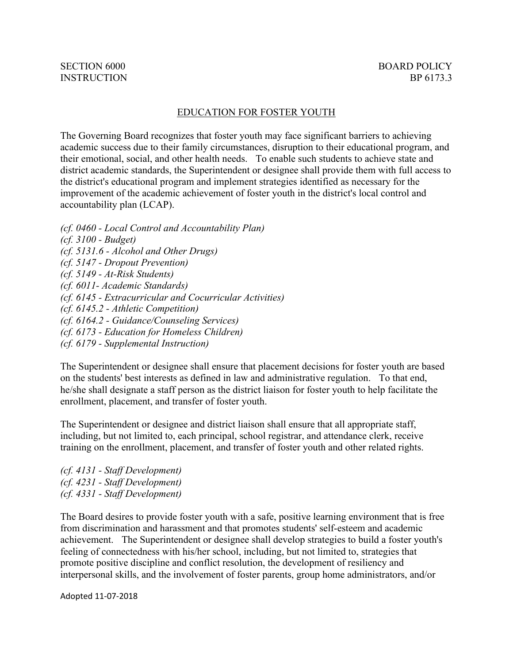#### EDUCATION FOR FOSTER YOUTH

The Governing Board recognizes that foster youth may face significant barriers to achieving academic success due to their family circumstances, disruption to their educational program, and their emotional, social, and other health needs. To enable such students to achieve state and district academic standards, the Superintendent or designee shall provide them with full access to the district's educational program and implement strategies identified as necessary for the improvement of the academic achievement of foster youth in the district's local control and accountability plan (LCAP).

*(cf. 0460 - Local Control and Accountability Plan) (cf. 3100 - Budget) (cf. 5131.6 - Alcohol and Other Drugs) (cf. 5147 - Dropout Prevention) (cf. 5149 - At-Risk Students) (cf. 6011- Academic Standards) (cf. 6145 - Extracurricular and Cocurricular Activities) (cf. 6145.2 - Athletic Competition) (cf. 6164.2 - Guidance/Counseling Services) (cf. 6173 - Education for Homeless Children) (cf. 6179 - Supplemental Instruction)*

The Superintendent or designee shall ensure that placement decisions for foster youth are based on the students' best interests as defined in law and administrative regulation. To that end, he/she shall designate a staff person as the district liaison for foster youth to help facilitate the enrollment, placement, and transfer of foster youth.

The Superintendent or designee and district liaison shall ensure that all appropriate staff, including, but not limited to, each principal, school registrar, and attendance clerk, receive training on the enrollment, placement, and transfer of foster youth and other related rights.

*(cf. 4131 - Staff Development) (cf. 4231 - Staff Development) (cf. 4331 - Staff Development)*

The Board desires to provide foster youth with a safe, positive learning environment that is free from discrimination and harassment and that promotes students' self-esteem and academic achievement. The Superintendent or designee shall develop strategies to build a foster youth's feeling of connectedness with his/her school, including, but not limited to, strategies that promote positive discipline and conflict resolution, the development of resiliency and interpersonal skills, and the involvement of foster parents, group home administrators, and/or

Adopted 11-07-2018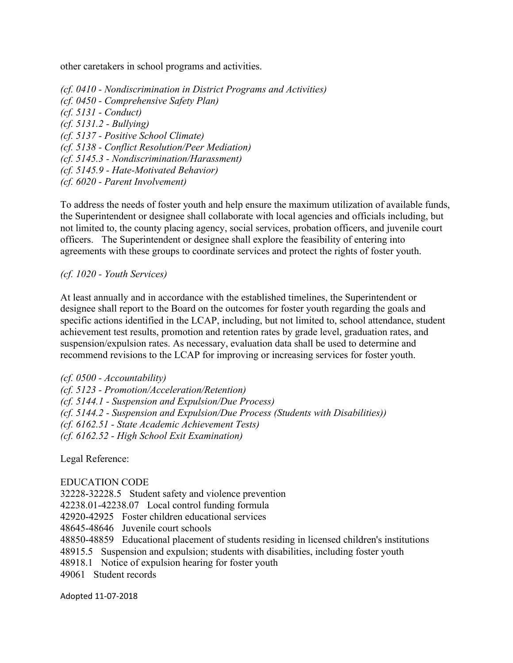other caretakers in school programs and activities.

*(cf. 0410 - Nondiscrimination in District Programs and Activities) (cf. 0450 - Comprehensive Safety Plan) (cf. 5131 - Conduct) (cf. 5131.2 - Bullying) (cf. 5137 - Positive School Climate) (cf. 5138 - Conflict Resolution/Peer Mediation) (cf. 5145.3 - Nondiscrimination/Harassment) (cf. 5145.9 - Hate-Motivated Behavior) (cf. 6020 - Parent Involvement)*

To address the needs of foster youth and help ensure the maximum utilization of available funds, the Superintendent or designee shall collaborate with local agencies and officials including, but not limited to, the county placing agency, social services, probation officers, and juvenile court officers. The Superintendent or designee shall explore the feasibility of entering into agreements with these groups to coordinate services and protect the rights of foster youth.

*(cf. 1020 - Youth Services)*

At least annually and in accordance with the established timelines, the Superintendent or designee shall report to the Board on the outcomes for foster youth regarding the goals and specific actions identified in the LCAP, including, but not limited to, school attendance, student achievement test results, promotion and retention rates by grade level, graduation rates, and suspension/expulsion rates. As necessary, evaluation data shall be used to determine and recommend revisions to the LCAP for improving or increasing services for foster youth.

*(cf. 0500 - Accountability) (cf. 5123 - Promotion/Acceleration/Retention) (cf. 5144.1 - Suspension and Expulsion/Due Process) (cf. 5144.2 - Suspension and Expulsion/Due Process (Students with Disabilities)) (cf. 6162.51 - State Academic Achievement Tests) (cf. 6162.52 - High School Exit Examination)*

Legal Reference:

### EDUCATION CODE

32228-32228.5 Student safety and violence prevention 42238.01-42238.07 Local control funding formula 42920-42925 Foster children educational services 48645-48646 Juvenile court schools 48850-48859 Educational placement of students residing in licensed children's institutions 48915.5 Suspension and expulsion; students with disabilities, including foster youth 48918.1 Notice of expulsion hearing for foster youth 49061 Student records

Adopted 11-07-2018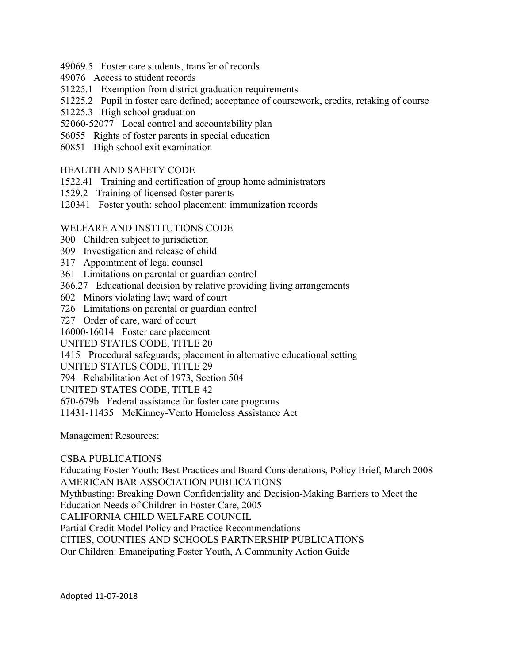- 49069.5 Foster care students, transfer of records
- 49076 Access to student records
- 51225.1 Exemption from district graduation requirements
- 51225.2 Pupil in foster care defined; acceptance of coursework, credits, retaking of course
- 51225.3 High school graduation
- 52060-52077 Local control and accountability plan
- 56055 Rights of foster parents in special education
- 60851 High school exit examination

# HEALTH AND SAFETY CODE

- 1522.41 Training and certification of group home administrators
- 1529.2 Training of licensed foster parents
- 120341 Foster youth: school placement: immunization records

# WELFARE AND INSTITUTIONS CODE

- 300 Children subject to jurisdiction
- 309 Investigation and release of child
- 317 Appointment of legal counsel
- 361 Limitations on parental or guardian control
- 366.27 Educational decision by relative providing living arrangements
- 602 Minors violating law; ward of court
- 726 Limitations on parental or guardian control
- 727 Order of care, ward of court
- 16000-16014 Foster care placement
- UNITED STATES CODE, TITLE 20
- 1415 Procedural safeguards; placement in alternative educational setting
- UNITED STATES CODE, TITLE 29
- 794 Rehabilitation Act of 1973, Section 504
- UNITED STATES CODE, TITLE 42
- 670-679b Federal assistance for foster care programs
- 11431-11435 McKinney-Vento Homeless Assistance Act

Management Resources:

### CSBA PUBLICATIONS

Educating Foster Youth: Best Practices and Board Considerations, Policy Brief, March 2008 AMERICAN BAR ASSOCIATION PUBLICATIONS

Mythbusting: Breaking Down Confidentiality and Decision-Making Barriers to Meet the

Education Needs of Children in Foster Care, 2005

CALIFORNIA CHILD WELFARE COUNCIL

Partial Credit Model Policy and Practice Recommendations

CITIES, COUNTIES AND SCHOOLS PARTNERSHIP PUBLICATIONS

Our Children: Emancipating Foster Youth, A Community Action Guide